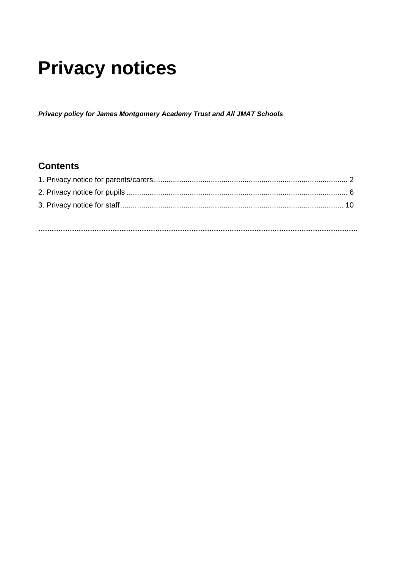# **Privacy notices**

*Privacy policy for James Montgomery Academy Trust and All JMAT Schools*

# **Contents**

**…………………………………………………………………………………………………………………………….**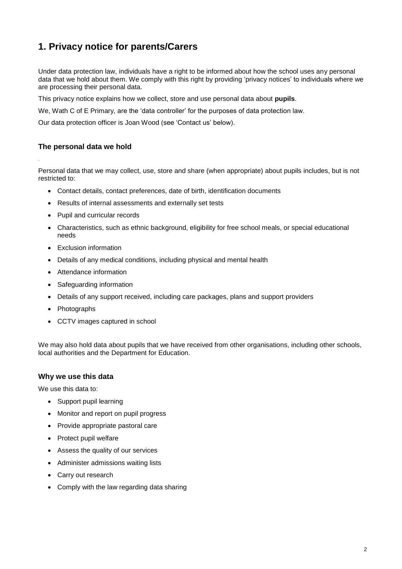# **1. Privacy notice for parents/Carers**

Under data protection law, individuals have a right to be informed about how the school uses any personal data that we hold about them. We comply with this right by providing 'privacy notices' to individuals where we are processing their personal data.

This privacy notice explains how we collect, store and use personal data about **pupils**.

We, Wath C of E Primary, are the 'data controller' for the purposes of data protection law.

Our data protection officer is Joan Wood (see 'Contact us' below).

#### **The personal data we hold**

*.*

Personal data that we may collect, use, store and share (when appropriate) about pupils includes, but is not restricted to:

- Contact details, contact preferences, date of birth, identification documents
- Results of internal assessments and externally set tests
- Pupil and curricular records
- Characteristics, such as ethnic background, eligibility for free school meals, or special educational needs
- Exclusion information
- Details of any medical conditions, including physical and mental health
- Attendance information
- Safeguarding information
- Details of any support received, including care packages, plans and support providers
- Photographs
- CCTV images captured in school

We may also hold data about pupils that we have received from other organisations, including other schools, local authorities and the Department for Education.

#### **Why we use this data**

We use this data to:

- Support pupil learning
- Monitor and report on pupil progress
- Provide appropriate pastoral care
- Protect pupil welfare
- Assess the quality of our services
- Administer admissions waiting lists
- Carry out research
- Comply with the law regarding data sharing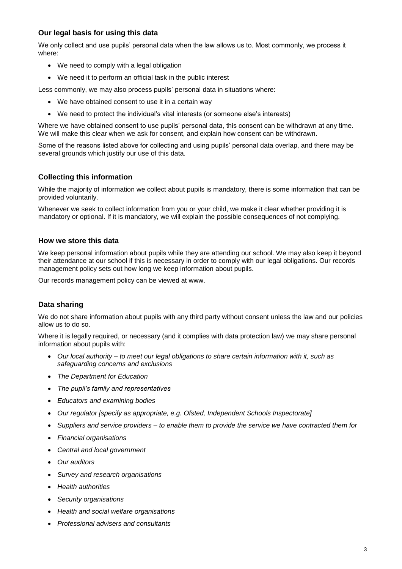# **Our legal basis for using this data**

We only collect and use pupils' personal data when the law allows us to. Most commonly, we process it where:

- We need to comply with a legal obligation
- We need it to perform an official task in the public interest

Less commonly, we may also process pupils' personal data in situations where:

- We have obtained consent to use it in a certain way
- We need to protect the individual's vital interests (or someone else's interests)

Where we have obtained consent to use pupils' personal data, this consent can be withdrawn at any time. We will make this clear when we ask for consent, and explain how consent can be withdrawn.

Some of the reasons listed above for collecting and using pupils' personal data overlap, and there may be several grounds which justify our use of this data.

# **Collecting this information**

While the majority of information we collect about pupils is mandatory, there is some information that can be provided voluntarily.

Whenever we seek to collect information from you or your child, we make it clear whether providing it is mandatory or optional. If it is mandatory, we will explain the possible consequences of not complying.

#### **How we store this data**

We keep personal information about pupils while they are attending our school. We may also keep it beyond their attendance at our school if this is necessary in order to comply with our legal obligations. Our records management policy sets out how long we keep information about pupils.

Our records management policy can be viewed at www.

# **Data sharing**

We do not share information about pupils with any third party without consent unless the law and our policies allow us to do so.

Where it is legally required, or necessary (and it complies with data protection law) we may share personal information about pupils with:

- *Our local authority – to meet our legal obligations to share certain information with it, such as safeguarding concerns and exclusions*
- *The Department for Education*
- *The pupil's family and representatives*
- *Educators and examining bodies*
- *Our regulator [specify as appropriate, e.g. Ofsted, Independent Schools Inspectorate]*
- *Suppliers and service providers – to enable them to provide the service we have contracted them for*
- *Financial organisations*
- *Central and local government*
- *Our auditors*
- *Survey and research organisations*
- *Health authorities*
- *Security organisations*
- *Health and social welfare organisations*
- *Professional advisers and consultants*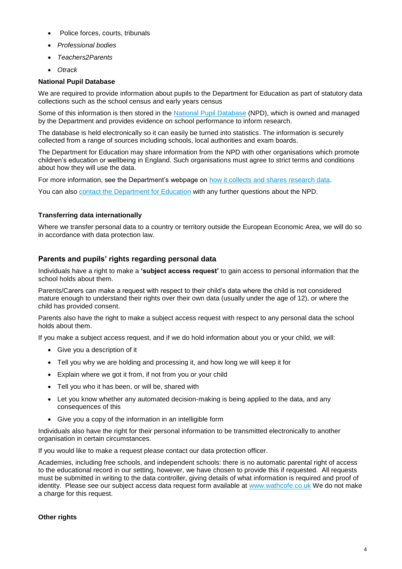- Police forces, courts, tribunals
- *Professional bodies*
- *Teachers2Parents*
- *Otrack*

#### **National Pupil Database**

We are required to provide information about pupils to the Department for Education as part of statutory data collections such as the school census and early years census

Some of this information is then stored in the [National Pupil Database](https://www.gov.uk/government/publications/national-pupil-database-user-guide-and-supporting-information) (NPD), which is owned and managed by the Department and provides evidence on school performance to inform research.

The database is held electronically so it can easily be turned into statistics. The information is securely collected from a range of sources including schools, local authorities and exam boards.

The Department for Education may share information from the NPD with other organisations which promote children's education or wellbeing in England. Such organisations must agree to strict terms and conditions about how they will use the data.

For more information, see the Department's webpage on [how it collects and shares research data.](https://www.gov.uk/data-protection-how-we-collect-and-share-research-data)

You can also [contact the Department for Education](https://www.gov.uk/contact-dfe) with any further questions about the NPD.

#### **Transferring data internationally**

Where we transfer personal data to a country or territory outside the European Economic Area, we will do so in accordance with data protection law.

# **Parents and pupils' rights regarding personal data**

Individuals have a right to make a **'subject access request'** to gain access to personal information that the school holds about them.

Parents/Carers can make a request with respect to their child's data where the child is not considered mature enough to understand their rights over their own data (usually under the age of 12), or where the child has provided consent.

Parents also have the right to make a subject access request with respect to any personal data the school holds about them.

If you make a subject access request, and if we do hold information about you or your child, we will:

- Give you a description of it
- Tell you why we are holding and processing it, and how long we will keep it for
- Explain where we got it from, if not from you or your child
- Tell you who it has been, or will be, shared with
- Let you know whether any automated decision-making is being applied to the data, and any consequences of this
- Give you a copy of the information in an intelligible form

Individuals also have the right for their personal information to be transmitted electronically to another organisation in certain circumstances.

If you would like to make a request please contact our data protection officer.

Academies, including free schools, and independent schools: there is no automatic parental right of access to the educational record in our setting, however, we have chosen to provide this if requested. All requests must be submitted in writing to the data controller, giving details of what information is required and proof of identity. Please see our subject access data request form available at [www.wathcofe.co.uk](http://www.wathcofe.co.uk/) We do not make a charge for this request.

#### **Other rights**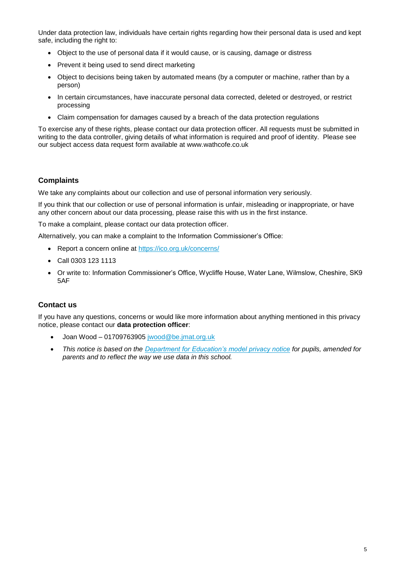Under data protection law, individuals have certain rights regarding how their personal data is used and kept safe, including the right to:

- Object to the use of personal data if it would cause, or is causing, damage or distress
- Prevent it being used to send direct marketing
- Object to decisions being taken by automated means (by a computer or machine, rather than by a person)
- In certain circumstances, have inaccurate personal data corrected, deleted or destroyed, or restrict processing
- Claim compensation for damages caused by a breach of the data protection regulations

To exercise any of these rights, please contact our data protection officer. All requests must be submitted in writing to the data controller, giving details of what information is required and proof of identity. Please see our subject access data request form available at www.wathcofe.co.uk

#### **Complaints**

We take any complaints about our collection and use of personal information very seriously.

If you think that our collection or use of personal information is unfair, misleading or inappropriate, or have any other concern about our data processing, please raise this with us in the first instance.

To make a complaint, please contact our data protection officer.

Alternatively, you can make a complaint to the Information Commissioner's Office:

- Report a concern online at<https://ico.org.uk/concerns/>
- Call 0303 123 1113
- Or write to: Information Commissioner's Office, Wycliffe House, Water Lane, Wilmslow, Cheshire, SK9 5AF

#### **Contact us**

If you have any questions, concerns or would like more information about anything mentioned in this privacy notice, please contact our **data protection officer**:

- Joan Wood 01709763905 [jwood@be.jmat.org.uk](mailto:jwood@be.jmat.org.uk)
- *This notice is based on the [Department for Education's model privacy notice](https://www.gov.uk/government/publications/data-protection-and-privacy-privacy-notices) for pupils, amended for parents and to reflect the way we use data in this school.*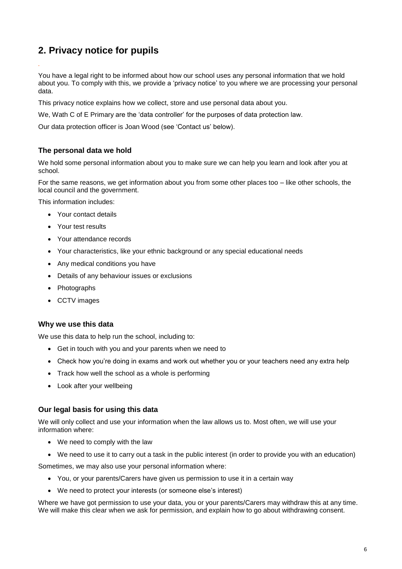# **2. Privacy notice for pupils**

*.*

You have a legal right to be informed about how our school uses any personal information that we hold about you. To comply with this, we provide a 'privacy notice' to you where we are processing your personal data.

This privacy notice explains how we collect, store and use personal data about you.

We, Wath C of E Primary are the 'data controller' for the purposes of data protection law.

Our data protection officer is Joan Wood (see 'Contact us' below).

# **The personal data we hold**

We hold some personal information about you to make sure we can help you learn and look after you at school.

For the same reasons, we get information about you from some other places too – like other schools, the local council and the government.

This information includes:

- Your contact details
- Your test results
- Your attendance records
- Your characteristics, like your ethnic background or any special educational needs
- Any medical conditions you have
- Details of any behaviour issues or exclusions
- Photographs
- CCTV images

#### **Why we use this data**

We use this data to help run the school, including to:

- Get in touch with you and your parents when we need to
- Check how you're doing in exams and work out whether you or your teachers need any extra help
- Track how well the school as a whole is performing
- Look after your wellbeing

#### **Our legal basis for using this data**

We will only collect and use your information when the law allows us to. Most often, we will use your information where:

- We need to comply with the law
- We need to use it to carry out a task in the public interest (in order to provide you with an education)

Sometimes, we may also use your personal information where:

- You, or your parents/Carers have given us permission to use it in a certain way
- We need to protect your interests (or someone else's interest)

Where we have got permission to use your data, you or your parents/Carers may withdraw this at any time. We will make this clear when we ask for permission, and explain how to go about withdrawing consent.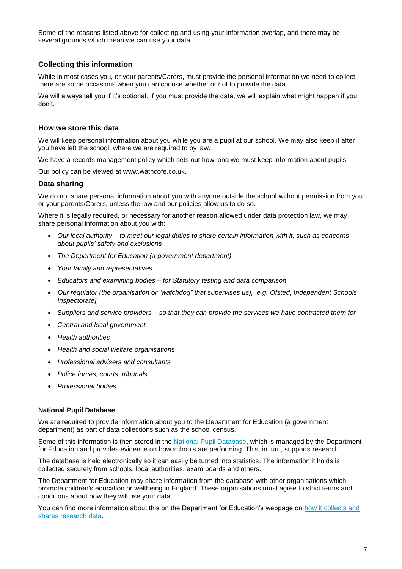Some of the reasons listed above for collecting and using your information overlap, and there may be several grounds which mean we can use your data.

### **Collecting this information**

While in most cases you, or your parents/Carers, must provide the personal information we need to collect, there are some occasions when you can choose whether or not to provide the data.

We will always tell you if it's optional. If you must provide the data, we will explain what might happen if you don't.

#### **How we store this data**

We will keep personal information about you while you are a pupil at our school. We may also keep it after you have left the school, where we are required to by law.

We have a records management policy which sets out how long we must keep information about pupils.

Our policy can be viewed at www.wathcofe.co.uk.

#### **Data sharing**

We do not share personal information about you with anyone outside the school without permission from you or your parents/Carers, unless the law and our policies allow us to do so.

Where it is legally required, or necessary for another reason allowed under data protection law, we may share personal information about you with:

- *Our local authority – to meet our legal duties to share certain information with it, such as concerns about pupils' safety and exclusions*
- *The Department for Education (a government department)*
- *Your family and representatives*
- *Educators and examining bodies – for Statutory testing and data comparison*
- *Our regulator (the organisation or "watchdog" that supervises us), e.g. Ofsted, Independent Schools Inspectorate]*
- *Suppliers and service providers – so that they can provide the services we have contracted them for*
- *Central and local government*
- *Health authorities*
- *Health and social welfare organisations*
- *Professional advisers and consultants*
- *Police forces, courts, tribunals*
- *Professional bodies*

#### **National Pupil Database**

We are required to provide information about you to the Department for Education (a government department) as part of data collections such as the school census.

Some of this information is then stored in the [National Pupil Database,](https://www.gov.uk/government/publications/national-pupil-database-user-guide-and-supporting-information) which is managed by the Department for Education and provides evidence on how schools are performing. This, in turn, supports research.

The database is held electronically so it can easily be turned into statistics. The information it holds is collected securely from schools, local authorities, exam boards and others.

The Department for Education may share information from the database with other organisations which promote children's education or wellbeing in England. These organisations must agree to strict terms and conditions about how they will use your data.

You can find more information about this on the Department for Education's webpage on [how it collects and](https://www.gov.uk/data-protection-how-we-collect-and-share-research-data)  [shares research data.](https://www.gov.uk/data-protection-how-we-collect-and-share-research-data)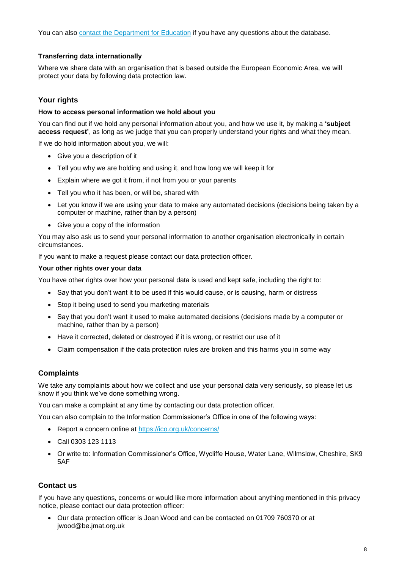You can also [contact the Department for Education](https://www.gov.uk/contact-dfe) if you have any questions about the database.

#### **Transferring data internationally**

Where we share data with an organisation that is based outside the European Economic Area, we will protect your data by following data protection law.

#### **Your rights**

#### **How to access personal information we hold about you**

You can find out if we hold any personal information about you, and how we use it, by making a **'subject access request'**, as long as we judge that you can properly understand your rights and what they mean.

If we do hold information about you, we will:

- Give you a description of it
- Tell you why we are holding and using it, and how long we will keep it for
- Explain where we got it from, if not from you or your parents
- Tell you who it has been, or will be, shared with
- Let you know if we are using your data to make any automated decisions (decisions being taken by a computer or machine, rather than by a person)
- Give you a copy of the information

You may also ask us to send your personal information to another organisation electronically in certain circumstances.

If you want to make a request please contact our data protection officer.

#### **Your other rights over your data**

You have other rights over how your personal data is used and kept safe, including the right to:

- Say that you don't want it to be used if this would cause, or is causing, harm or distress
- Stop it being used to send you marketing materials
- Say that you don't want it used to make automated decisions (decisions made by a computer or machine, rather than by a person)
- Have it corrected, deleted or destroyed if it is wrong, or restrict our use of it
- Claim compensation if the data protection rules are broken and this harms you in some way

#### **Complaints**

We take any complaints about how we collect and use your personal data very seriously, so please let us know if you think we've done something wrong.

You can make a complaint at any time by contacting our data protection officer.

You can also complain to the Information Commissioner's Office in one of the following ways:

- Report a concern online at<https://ico.org.uk/concerns/>
- Call 0303 123 1113
- Or write to: Information Commissioner's Office, Wycliffe House, Water Lane, Wilmslow, Cheshire, SK9 5AF

#### **Contact us**

If you have any questions, concerns or would like more information about anything mentioned in this privacy notice, please contact our data protection officer:

 Our data protection officer is Joan Wood and can be contacted on 01709 760370 or at jwood@be.jmat.org.uk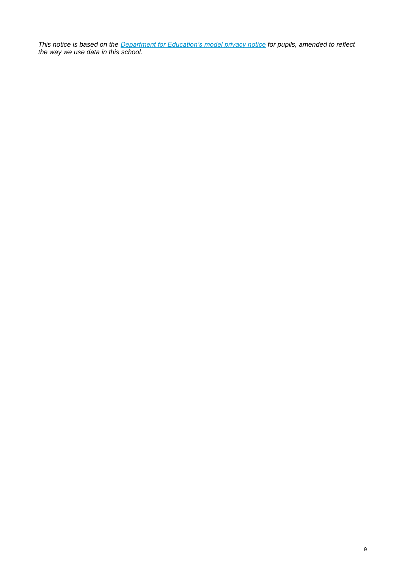*This notice is based on the [Department for Education's model privacy notice](https://www.gov.uk/government/publications/data-protection-and-privacy-privacy-notices) for pupils, amended to reflect the way we use data in this school.*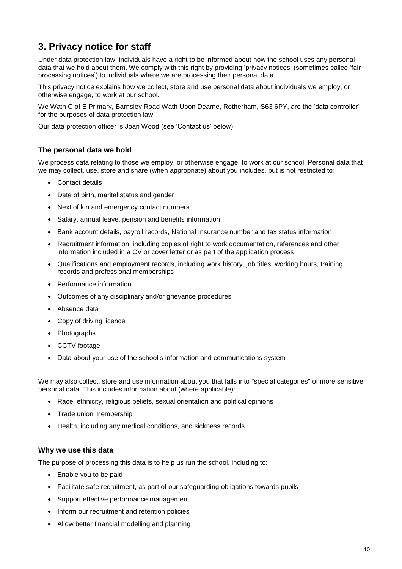# **3. Privacy notice for staff**

Under data protection law, individuals have a right to be informed about how the school uses any personal data that we hold about them. We comply with this right by providing 'privacy notices' (sometimes called 'fair processing notices') to individuals where we are processing their personal data.

This privacy notice explains how we collect, store and use personal data about individuals we employ, or otherwise engage, to work at our school.

We Wath C of E Primary, Barnsley Road Wath Upon Dearne, Rotherham, S63 6PY, are the 'data controller' for the purposes of data protection law.

Our data protection officer is Joan Wood (see 'Contact us' below).

# **The personal data we hold**

We process data relating to those we employ, or otherwise engage, to work at our school. Personal data that we may collect, use, store and share (when appropriate) about you includes, but is not restricted to:

- Contact details
- Date of birth, marital status and gender
- Next of kin and emergency contact numbers
- Salary, annual leave, pension and benefits information
- Bank account details, payroll records, National Insurance number and tax status information
- Recruitment information, including copies of right to work documentation, references and other information included in a CV or cover letter or as part of the application process
- Qualifications and employment records, including work history, job titles, working hours, training records and professional memberships
- Performance information
- Outcomes of any disciplinary and/or grievance procedures
- Absence data
- Copy of driving licence
- Photographs
- CCTV footage
- Data about your use of the school's information and communications system

We may also collect, store and use information about you that falls into "special categories" of more sensitive personal data. This includes information about (where applicable):

- Race, ethnicity, religious beliefs, sexual orientation and political opinions
- Trade union membership
- Health, including any medical conditions, and sickness records

#### **Why we use this data**

The purpose of processing this data is to help us run the school, including to:

- Enable you to be paid
- Facilitate safe recruitment, as part of our safeguarding obligations towards pupils
- Support effective performance management
- Inform our recruitment and retention policies
- Allow better financial modelling and planning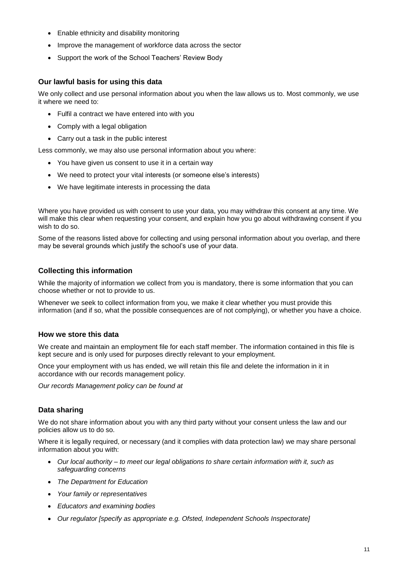- Enable ethnicity and disability monitoring
- Improve the management of workforce data across the sector
- Support the work of the School Teachers' Review Body

# **Our lawful basis for using this data**

We only collect and use personal information about you when the law allows us to. Most commonly, we use it where we need to:

- Fulfil a contract we have entered into with you
- Comply with a legal obligation
- Carry out a task in the public interest

Less commonly, we may also use personal information about you where:

- You have given us consent to use it in a certain way
- We need to protect your vital interests (or someone else's interests)
- We have legitimate interests in processing the data

Where you have provided us with consent to use your data, you may withdraw this consent at any time. We will make this clear when requesting your consent, and explain how you go about withdrawing consent if you wish to do so.

Some of the reasons listed above for collecting and using personal information about you overlap, and there may be several grounds which justify the school's use of your data.

#### **Collecting this information**

While the majority of information we collect from you is mandatory, there is some information that you can choose whether or not to provide to us.

Whenever we seek to collect information from you, we make it clear whether you must provide this information (and if so, what the possible consequences are of not complying), or whether you have a choice.

#### **How we store this data**

We create and maintain an employment file for each staff member. The information contained in this file is kept secure and is only used for purposes directly relevant to your employment.

Once your employment with us has ended, we will retain this file and delete the information in it in accordance with our records management policy.

*Our records Management policy can be found at* 

# **Data sharing**

We do not share information about you with any third party without your consent unless the law and our policies allow us to do so.

Where it is legally required, or necessary (and it complies with data protection law) we may share personal information about you with:

- *Our local authority – to meet our legal obligations to share certain information with it, such as safeguarding concerns*
- *The Department for Education*
- *Your family or representatives*
- *Educators and examining bodies*
- *Our regulator [specify as appropriate e.g. Ofsted, Independent Schools Inspectorate]*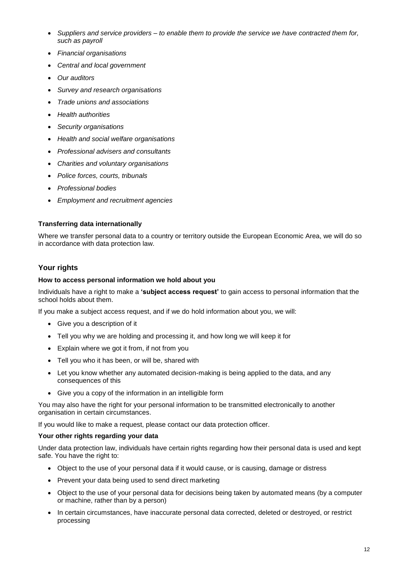- *Suppliers and service providers – to enable them to provide the service we have contracted them for, such as payroll*
- *Financial organisations*
- *Central and local government*
- *Our auditors*
- *Survey and research organisations*
- *Trade unions and associations*
- *Health authorities*
- *Security organisations*
- *Health and social welfare organisations*
- *Professional advisers and consultants*
- *Charities and voluntary organisations*
- *Police forces, courts, tribunals*
- *Professional bodies*
- *Employment and recruitment agencies*

#### **Transferring data internationally**

Where we transfer personal data to a country or territory outside the European Economic Area, we will do so in accordance with data protection law.

# **Your rights**

#### **How to access personal information we hold about you**

Individuals have a right to make a **'subject access request'** to gain access to personal information that the school holds about them.

If you make a subject access request, and if we do hold information about you, we will:

- Give you a description of it
- Tell you why we are holding and processing it, and how long we will keep it for
- Explain where we got it from, if not from you
- Tell you who it has been, or will be, shared with
- Let you know whether any automated decision-making is being applied to the data, and any consequences of this
- Give you a copy of the information in an intelligible form

You may also have the right for your personal information to be transmitted electronically to another organisation in certain circumstances.

If you would like to make a request, please contact our data protection officer.

#### **Your other rights regarding your data**

Under data protection law, individuals have certain rights regarding how their personal data is used and kept safe. You have the right to:

- Object to the use of your personal data if it would cause, or is causing, damage or distress
- Prevent your data being used to send direct marketing
- Object to the use of your personal data for decisions being taken by automated means (by a computer or machine, rather than by a person)
- In certain circumstances, have inaccurate personal data corrected, deleted or destroyed, or restrict processing